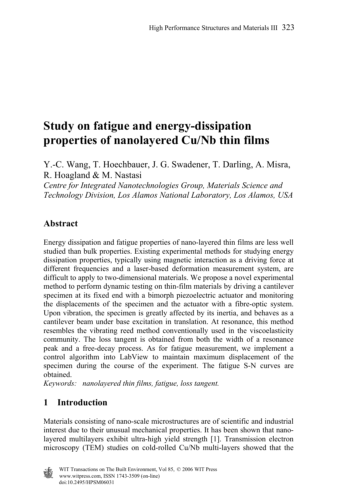# **Study on fatigue and energy-dissipation properties of nanolayered Cu/Nb thin films**

Y.-C. Wang, T. Hoechbauer, J. G. Swadener, T. Darling, A. Misra, R. Hoagland & M. Nastasi

*Centre for Integrated Nanotechnologies Group, Materials Science and Technology Division, Los Alamos National Laboratory, Los Alamos, USA* 

### **Abstract**

Energy dissipation and fatigue properties of nano-layered thin films are less well studied than bulk properties. Existing experimental methods for studying energy dissipation properties, typically using magnetic interaction as a driving force at different frequencies and a laser-based deformation measurement system, are difficult to apply to two-dimensional materials. We propose a novel experimental method to perform dynamic testing on thin-film materials by driving a cantilever specimen at its fixed end with a bimorph piezoelectric actuator and monitoring the displacements of the specimen and the actuator with a fibre-optic system. Upon vibration, the specimen is greatly affected by its inertia, and behaves as a cantilever beam under base excitation in translation. At resonance, this method resembles the vibrating reed method conventionally used in the viscoelasticity community. The loss tangent is obtained from both the width of a resonance peak and a free-decay process. As for fatigue measurement, we implement a control algorithm into LabView to maintain maximum displacement of the specimen during the course of the experiment. The fatigue S-N curves are obtained.

*Keywords: nanolayered thin films, fatigue, loss tangent.* 

## **1 Introduction**

Materials consisting of nano-scale microstructures are of scientific and industrial interest due to their unusual mechanical properties. It has been shown that nanolayered multilayers exhibit ultra-high yield strength [1]. Transmission electron microscopy (TEM) studies on cold-rolled Cu/Nb multi-layers showed that the

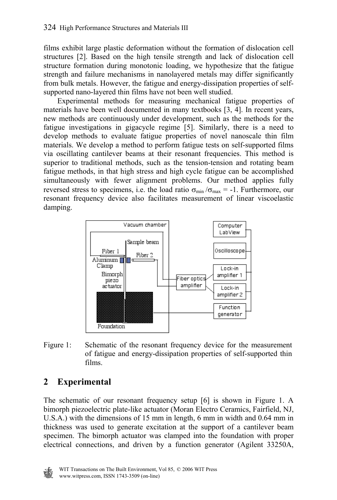films exhibit large plastic deformation without the formation of dislocation cell structures [2]. Based on the high tensile strength and lack of dislocation cell structure formation during monotonic loading, we hypothesize that the fatigue strength and failure mechanisms in nanolayered metals may differ significantly from bulk metals. However, the fatigue and energy-dissipation properties of selfsupported nano-layered thin films have not been well studied.

 Experimental methods for measuring mechanical fatigue properties of materials have been well documented in many textbooks [3, 4]. In recent years, new methods are continuously under development, such as the methods for the fatigue investigations in gigacycle regime [5]. Similarly, there is a need to develop methods to evaluate fatigue properties of novel nanoscale thin film materials. We develop a method to perform fatigue tests on self-supported films via oscillating cantilever beams at their resonant frequencies. This method is superior to traditional methods, such as the tension-tension and rotating beam fatigue methods, in that high stress and high cycle fatigue can be accomplished simultaneously with fewer alignment problems. Our method applies fully reversed stress to specimens, i.e. the load ratio  $\sigma_{\text{min}}/\sigma_{\text{max}} = -1$ . Furthermore, our resonant frequency device also facilitates measurement of linear viscoelastic damping.



Figure 1: Schematic of the resonant frequency device for the measurement of fatigue and energy-dissipation properties of self-supported thin films.

# **2 Experimental**

The schematic of our resonant frequency setup [6] is shown in Figure 1. A bimorph piezoelectric plate-like actuator (Moran Electro Ceramics, Fairfield, NJ, U.S.A.) with the dimensions of 15 mm in length, 6 mm in width and 0.64 mm in thickness was used to generate excitation at the support of a cantilever beam specimen. The bimorph actuator was clamped into the foundation with proper electrical connections, and driven by a function generator (Agilent 33250A,

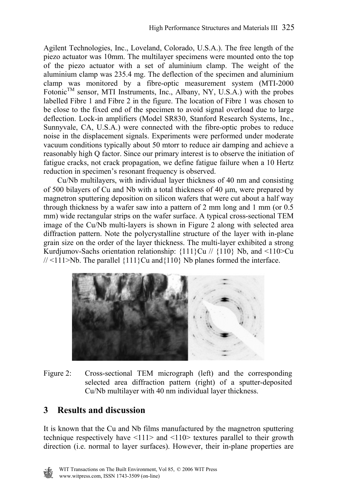Agilent Technologies, Inc., Loveland, Colorado, U.S.A.). The free length of the piezo actuator was 10mm. The multilayer specimens were mounted onto the top of the piezo actuator with a set of aluminium clamp. The weight of the aluminium clamp was 235.4 mg. The deflection of the specimen and aluminium clamp was monitored by a fibre-optic measurement system (MTI-2000 Fotonic<sup>TM</sup> sensor, MTI Instruments, Inc., Albany, NY, U.S.A.) with the probes labelled Fibre 1 and Fibre 2 in the figure. The location of Fibre 1 was chosen to be close to the fixed end of the specimen to avoid signal overload due to large deflection. Lock-in amplifiers (Model SR830, Stanford Research Systems, Inc., Sunnyvale, CA, U.S.A.) were connected with the fibre-optic probes to reduce noise in the displacement signals. Experiments were performed under moderate vacuum conditions typically about 50 mtorr to reduce air damping and achieve a reasonably high Q factor. Since our primary interest is to observe the initiation of fatigue cracks, not crack propagation, we define fatigue failure when a 10 Hertz reduction in specimen's resonant frequency is observed.

 Cu/Nb multilayers, with individual layer thickness of 40 nm and consisting of 500 bilayers of Cu and Nb with a total thickness of 40 µm, were prepared by magnetron sputtering deposition on silicon wafers that were cut about a half way through thickness by a wafer saw into a pattern of 2 mm long and 1 mm (or 0.5 mm) wide rectangular strips on the wafer surface. A typical cross-sectional TEM image of the Cu/Nb multi-layers is shown in Figure 2 along with selected area diffraction pattern. Note the polycrystalline structure of the layer with in-plane grain size on the order of the layer thickness. The multi-layer exhibited a strong Kurdjumov-Sachs orientation relationship:  $\{111\}$ Cu //  $\{110\}$  Nb, and  $\langle 110 \rangle$ Cu  $//$  <111>Nb. The parallel  ${111}$ }Cu and ${110}$ } Nb planes formed the interface.



Figure 2: Cross-sectional TEM micrograph (left) and the corresponding selected area diffraction pattern (right) of a sputter-deposited Cu/Nb multilayer with 40 nm individual layer thickness.

# **3 Results and discussion**

It is known that the Cu and Nb films manufactured by the magnetron sputtering technique respectively have  $\langle 111 \rangle$  and  $\langle 110 \rangle$  textures parallel to their growth direction (i.e. normal to layer surfaces). However, their in-plane properties are

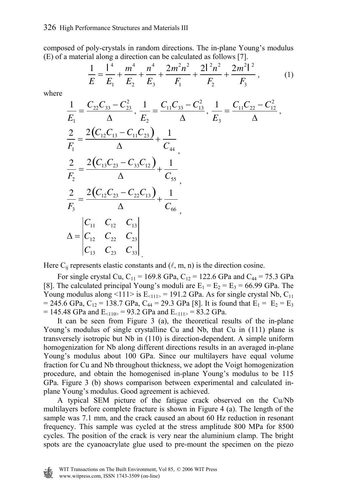composed of poly-crystals in random directions. The in-plane Young's modulus (E) of a material along a direction can be calculated as follows [7].

$$
\frac{1}{E} = \frac{1^4}{E_1} + \frac{m^4}{E_2} + \frac{n^4}{E_3} + \frac{2m^2n^2}{F_1} + \frac{2l^2n^2}{F_2} + \frac{2m^2l^2}{F_3},
$$
(1)

where

$$
\frac{1}{E_1} = \frac{C_{22}C_{33} - C_{23}^2}{\Delta}, \frac{1}{E_2} = \frac{C_{11}C_{33} - C_{13}^2}{\Delta}, \frac{1}{E_3} = \frac{C_{11}C_{22} - C_{12}^2}{\Delta},
$$
\n
$$
\frac{2}{F_1} = \frac{2(C_{12}C_{13} - C_{11}C_{23})}{\Delta} + \frac{1}{C_{44}},
$$
\n
$$
\frac{2}{F_2} = \frac{2(C_{13}C_{23} - C_{33}C_{12})}{\Delta} + \frac{1}{C_{55}},
$$
\n
$$
\frac{2}{F_3} = \frac{2(C_{12}C_{23} - C_{22}C_{13})}{\Delta} + \frac{1}{C_{66}},
$$
\n
$$
\Delta = \begin{vmatrix} C_{11} & C_{12} & C_{13} \\ C_{12} & C_{22} & C_{23} \\ C_{13} & C_{23} & C_{33} \end{vmatrix}.
$$

Here  $C_{ii}$  represents elastic constants and  $(\ell, m, n)$  is the direction cosine.

For single crystal Cu,  $C_{11} = 169.8$  GPa,  $C_{12} = 122.6$  GPa and  $C_{44} = 75.3$  GPa [8]. The calculated principal Young's moduli are  $E_1 = E_2 = E_3 = 66.99$  GPa. The Young modulus along <111> is  $E_{\text{}11}$  = 191.2 GPa. As for single crystal Nb,  $C_{11}$ = 245.6 GPa, C<sub>12</sub> = 138.7 GPa, C<sub>44</sub> = 29.3 GPa [8]. It is found that  $E_1 = E_2 = E_3$  $= 145.48$  GPa and E<sub><110></sub> = 93.2 GPa and E<sub><111></sub> = 83.2 GPa.

 It can be seen from Figure 3 (a), the theoretical results of the in-plane Young's modulus of single crystalline Cu and Nb, that Cu in (111) plane is transversely isotropic but Nb in (110) is direction-dependent. A simple uniform homogenization for Nb along different directions results in an averaged in-plane Young's modulus about 100 GPa. Since our multilayers have equal volume fraction for Cu and Nb throughout thickness, we adopt the Voigt homogenization procedure, and obtain the homogenised in-plane Young's modulus to be 115 GPa. Figure 3 (b) shows comparison between experimental and calculated inplane Young's modulus. Good agreement is achieved.

 A typical SEM picture of the fatigue crack observed on the Cu/Nb multilayers before complete fracture is shown in Figure 4 (a). The length of the sample was 7.1 mm, and the crack caused an about 60 Hz reduction in resonant frequency. This sample was cycled at the stress amplitude 800 MPa for 8500 cycles. The position of the crack is very near the aluminium clamp. The bright spots are the cyanoacrylate glue used to pre-mount the specimen on the piezo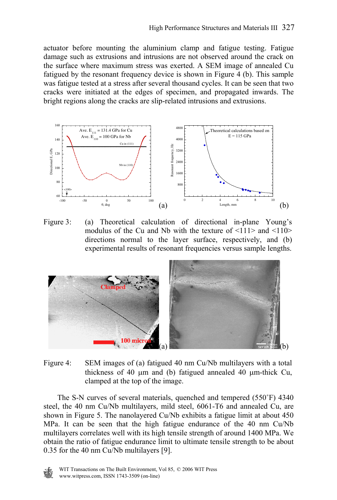actuator before mounting the aluminium clamp and fatigue testing. Fatigue damage such as extrusions and intrusions are not observed around the crack on the surface where maximum stress was exerted. A SEM image of annealed Cu fatigued by the resonant frequency device is shown in Figure 4 (b). This sample was fatigue tested at a stress after several thousand cycles. It can be seen that two cracks were initiated at the edges of specimen, and propagated inwards. The bright regions along the cracks are slip-related intrusions and extrusions.



Figure 3: (a) Theoretical calculation of directional in-plane Young's modulus of the Cu and Nb with the texture of  $\leq 111$  and  $\leq 110$ directions normal to the layer surface, respectively, and (b) experimental results of resonant frequencies versus sample lengths.



Figure 4: SEM images of (a) fatigued 40 nm Cu/Nb multilayers with a total thickness of 40 µm and (b) fatigued annealed 40 µm-thick Cu, clamped at the top of the image.

 The S-N curves of several materials, quenched and tempered (550˚F) 4340 steel, the 40 nm Cu/Nb multilayers, mild steel, 6061-T6 and annealed Cu, are shown in Figure 5. The nanolayered Cu/Nb exhibits a fatigue limit at about 450 MPa. It can be seen that the high fatigue endurance of the 40 nm Cu/Nb multilayers correlates well with its high tensile strength of around 1400 MPa. We obtain the ratio of fatigue endurance limit to ultimate tensile strength to be about 0.35 for the 40 nm Cu/Nb multilayers [9].

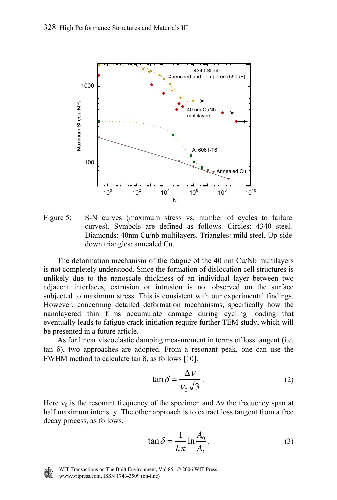

Figure 5: S-N curves (maximum stress vs. number of cycles to failure curves). Symbols are defined as follows. Circles: 4340 steel. Diamonds: 40nm Cu/nb multilayers. Triangles: mild steel. Up-side down triangles: annealed Cu.

 The deformation mechanism of the fatigue of the 40 nm Cu/Nb multilayers is not completely understood. Since the formation of dislocation cell structures is unlikely due to the nanoscale thickness of an individual layer between two adjacent interfaces, extrusion or intrusion is not observed on the surface subjected to maximum stress. This is consistent with our experimental findings. However, concerning detailed deformation mechanisms, specifically how the nanolayered thin films accumulate damage during cycling loading that eventually leads to fatigue crack initiation require further TEM study, which will be presented in a future article.

 As for linear viscoelastic damping measurement in terms of loss tangent (i.e. tan δ), two approaches are adopted. From a resonant peak, one can use the FWHM method to calculate tan δ, as follows [10].

$$
\tan \delta = \frac{\Delta v}{v_0 \sqrt{3}}.
$$
 (2)

Here  $v_0$  is the resonant frequency of the specimen and  $\Delta v$  the frequency span at half maximum intensity. The other approach is to extract loss tangent from a free decay process, as follows.

$$
\tan \delta = \frac{1}{k\pi} \ln \frac{A_0}{A_k} \,. \tag{3}
$$

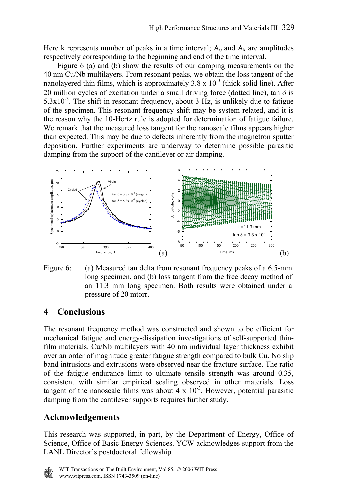Here k represents number of peaks in a time interval;  $A_0$  and  $A_k$  are amplitudes respectively corresponding to the beginning and end of the time interval.

 Figure 6 (a) and (b) show the results of our damping measurements on the 40 nm Cu/Nb multilayers. From resonant peaks, we obtain the loss tangent of the nanolayered thin films, which is approximately  $3.8 \times 10^{-3}$  (thick solid line). After 20 million cycles of excitation under a small driving force (dotted line), tan  $\delta$  is  $5.3x10^{-3}$ . The shift in resonant frequency, about 3 Hz, is unlikely due to fatigue of the specimen. This resonant frequency shift may be system related, and it is the reason why the 10-Hertz rule is adopted for determination of fatigue failure. We remark that the measured loss tangent for the nanoscale films appears higher than expected. This may be due to defects inherently from the magnetron sputter deposition. Further experiments are underway to determine possible parasitic damping from the support of the cantilever or air damping.



Figure 6: (a) Measured tan delta from resonant frequency peaks of a 6.5-mm long specimen, and (b) loss tangent from the free decay method of an 11.3 mm long specimen. Both results were obtained under a pressure of 20 mtorr.

## **4 Conclusions**

The resonant frequency method was constructed and shown to be efficient for mechanical fatigue and energy-dissipation investigations of self-supported thinfilm materials. Cu/Nb multilayers with 40 nm individual layer thickness exhibit over an order of magnitude greater fatigue strength compared to bulk Cu. No slip band intrusions and extrusions were observed near the fracture surface. The ratio of the fatigue endurance limit to ultimate tensile strength was around 0.35, consistent with similar empirical scaling observed in other materials. Loss tangent of the nanoscale films was about  $\frac{1}{4} \times 10^{-3}$ . However, potential parasitic damping from the cantilever supports requires further study.

#### **Acknowledgements**

This research was supported, in part, by the Department of Energy, Office of Science, Office of Basic Energy Sciences. YCW acknowledges support from the LANL Director's postdoctoral fellowship.